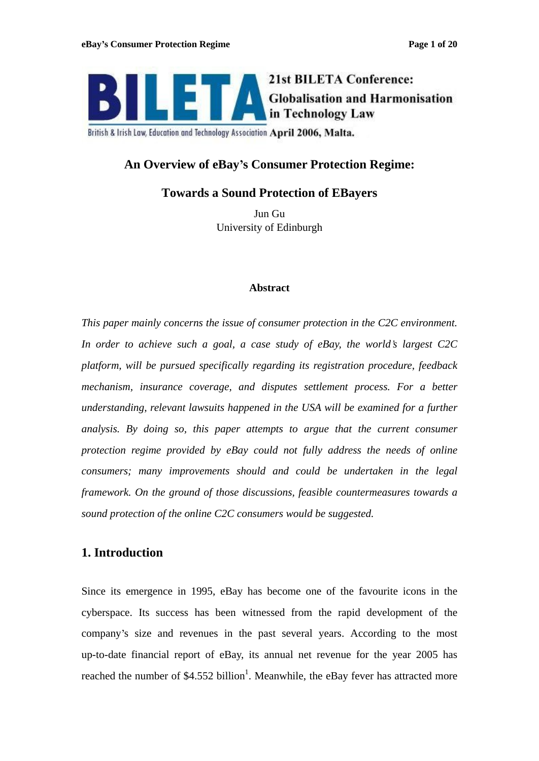

British & Irish Law, Education and Technology Association April 2006, Malta.

# **An Overview of eBay s Consumer Protection Regime:**

# **Towards a Sound Protection of EBayers**

Jun Gu University of Edinburgh

### **Abstract**

*This paper mainly concerns the issue of consumer protection in the C2C environment. In order to achieve such a goal, a case study of eBay, the world s largest C2C platform, will be pursued specifically regarding its registration procedure, feedback mechanism, insurance coverage, and disputes settlement process. For a better understanding, relevant lawsuits happened in the USA will be examined for a further analysis. By doing so, this paper attempts to argue that the current consumer protection regime provided by eBay could not fully address the needs of online consumers; many improvements should and could be undertaken in the legal framework. On the ground of those discussions, feasible countermeasures towards a sound protection of the online C2C consumers would be suggested.*

# **1. Introduction**

Since its emergence in 1995, eBay has become one of the favourite icons in the cyberspace. Its success has been witnessed from the rapid development of the company's size and revenues in the past several years. According to the most up-to-date financial report of eBay, its annual net revenue for the year 2005 has reached the number of \$4.552 billion<sup>1</sup>. Meanwhile, the eBay fever has attracted more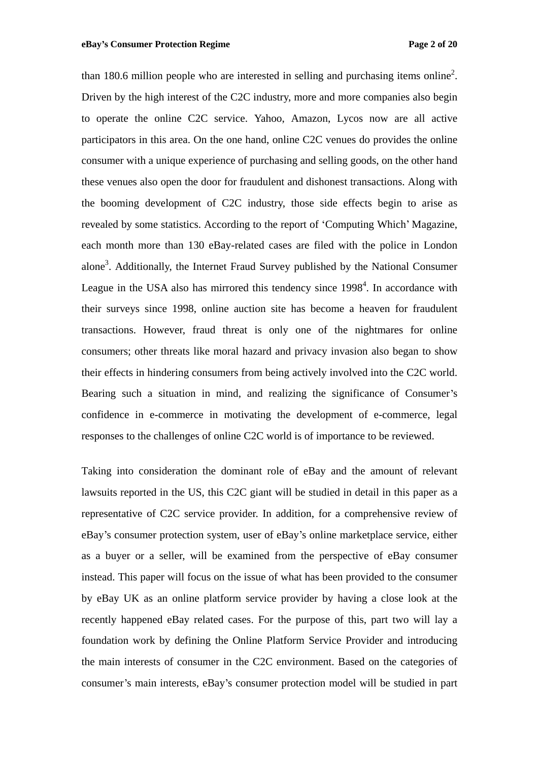than 180.6 million people who are interested in selling and purchasing items online<sup>2</sup>. . Driven by the high interest of the C2C industry, more and more companies also begin to operate the online C2C service. Yahoo, Amazon, Lycos now are all active participators in this area. On the one hand, online C2C venues do provides the online consumer with a unique experience of purchasing and selling goods, on the other hand these venues also open the door for fraudulent and dishonest transactions. Along with the booming development of C2C industry, those side effects begin to arise as revealed by some statistics. According to the report of 'Computing Which' Magazine, each month more than 130 eBay-related cases are filed with the police in London alone<sup>3</sup>. Additionally, the Internet Fraud Survey published by the National Consumer League in the USA also has mirrored this tendency since 1998<sup>4</sup>. In accordance with . In accordance with their surveys since 1998, online auction site has become a heaven for fraudulent transactions. However, fraud threat is only one of the nightmares for online consumers; other threats like moral hazard and privacy invasion also began to show their effects in hindering consumers from being actively involved into the C2C world.<br>Bearing such a situation in mind, and realizing the significance of Consumer's confidence in e-commerce in motivating the development of e-commerce, legal responses to the challenges of online C2C world is of importance to be reviewed.

Taking into consideration the dominant role of eBay and the amount of relevant lawsuits reported in the US, this C2C giant will be studied in detail in this paper as a representative of C2C service provider. In addition, for a comprehensive review of eBay s consumer protection system, user of eBay s online marketplace service, either as a buyer or a seller, will be examined from the perspective of eBay consumer instead. This paper will focus on the issue of what has been provided to the consumer by eBay UK as an online platform service provider by having a close look at the recently happened eBay related cases. For the purpose of this, part two will lay a foundation work by defining the Online Platform Service Provider and introducing the main interests of consumer in the C2C environment. Based on the categories of consumer's main interests, eBay's consumer protection model will be studied in part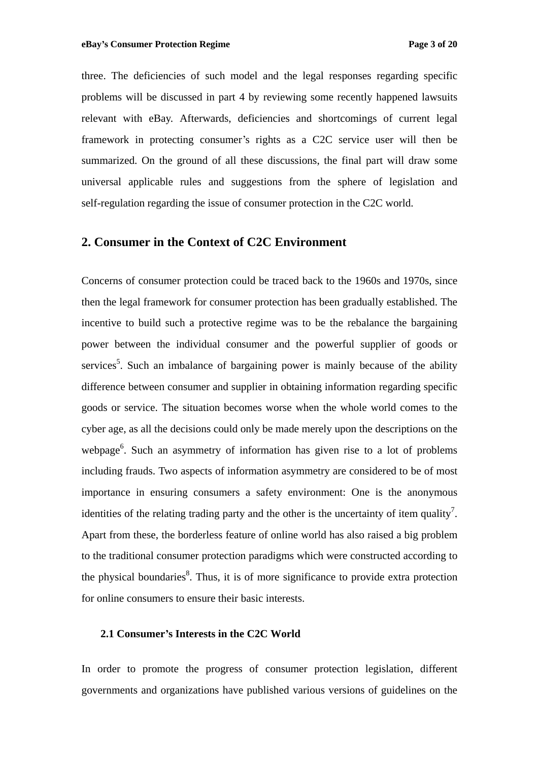three. The deficiencies of such model and the legal responses regarding specific problems will be discussed in part 4 by reviewing some recently happened lawsuits relevant with eBay. Afterwards, deficiencies and shortcomings of current legal framework in protecting consumer's rights as a C2C service user will then be summarized. On the ground of all these discussions, the final part will draw some universal applicable rules and suggestions from the sphere of legislation and self-regulation regarding the issue of consumer protection in the C2C world.

## **2. Consumer in the Context of C2C Environment**

Concerns of consumer protection could be traced back to the 1960s and 1970s, since then the legal framework for consumer protection has been gradually established. The incentive to build such a protective regime was to be the rebalance the bargaining power between the individual consumer and the powerful supplier of goods or services<sup>5</sup>. Such an imbalance of bargaining power is mainly because of the ability difference between consumer and supplier in obtaining information regarding specific goods or service. The situation becomes worse when the whole world comes to the cyber age, as all the decisions could only be made merely upon the descriptions on the webpage<sup>6</sup>. Such an asymmetry of information has given rise to a lot of problems including frauds. Two aspects of information asymmetry are considered to be of most importance in ensuring consumers a safety environment: One is the anonymous identities of the relating trading party and the other is the uncertainty of item quality<sup>7</sup>. 7 identities of the relating trading party and the other is the uncertainty of item quality'.<br>Apart from these, the borderless feature of online world has also raised a big problem to the traditional consumer protection paradigmswhich were constructed according to the physical boundaries<sup>8</sup>. Thus, it is of more significance to provide extra protection for online consumers to ensure their basic interests.

#### **2.1 Consumer s Interests in the C2C World**

In order to promote the progress of consumer protection legislation, different governments and organizations have published various versions of guidelines on the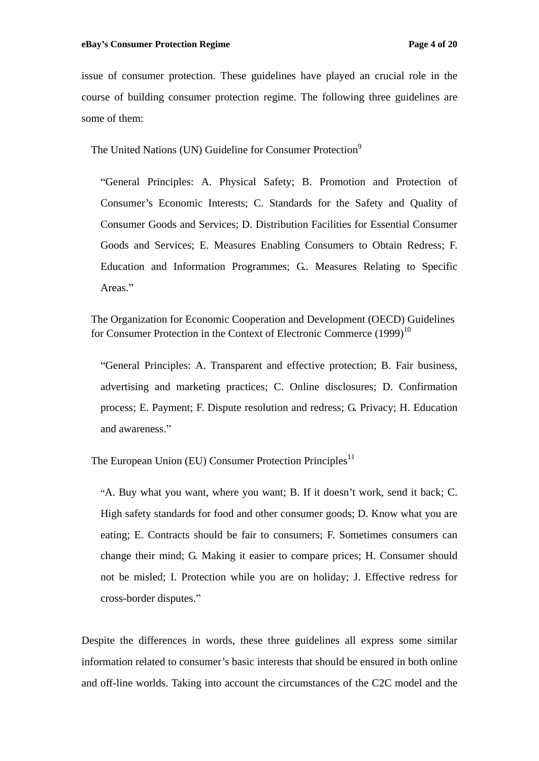issue of consumer protection. These guidelines have played an crucial role in the course of building consumer protection regime. The following three guidelines are some of them:  $\blacksquare$ 

The United Nations (UN) Guideline for Consumer Protection<sup>9</sup>

General Principles: A. Physical Safety; B. Promotion and Protection of Consumer's Economic Interests; C. Standards for the Safety and Quality of Consumer Goods and Services; D. Distribution Facilities for Essential Consumer Goods and Services; E. Measures Enabling Consumers to Obtain Redress; F. Education and Information Programmes; G.. Measures Relating to Specific Areas."

The Organization for Economic Cooperation and Development (OECD) Guidelines for Consumer Protection in the Context of Electronic Commerce  $(1999)^{10}$ 

General Principles: A. Transparent and effective protection; B. Fair business, advertising and marketing practices; C. Online disclosures; D. Confirmation process; E. Payment; F. Dispute resolution and redress; G. Privacy; H. Education and awareness.

The European Union (EU) Consumer Protection Principles<sup>11</sup>

"A. Buy what you want, where you want; B. If it doesn't work, send it back; C. High safety standards for food and other consumer goods; D. Know what you are eating; E. Contracts should be fair to consumers; F. Sometimes consumers can change their mind; G. Making it easier to compare prices; H. Consumer should not be misled; I. Protection while you are on holiday; J. Effective redress for cross-border disputes.

Despite the differences in words, these three guidelines all express some similar information related to consumer's basic interests that should be ensured in both online and off-line worlds. Taking into account the circumstances of the C2C model and the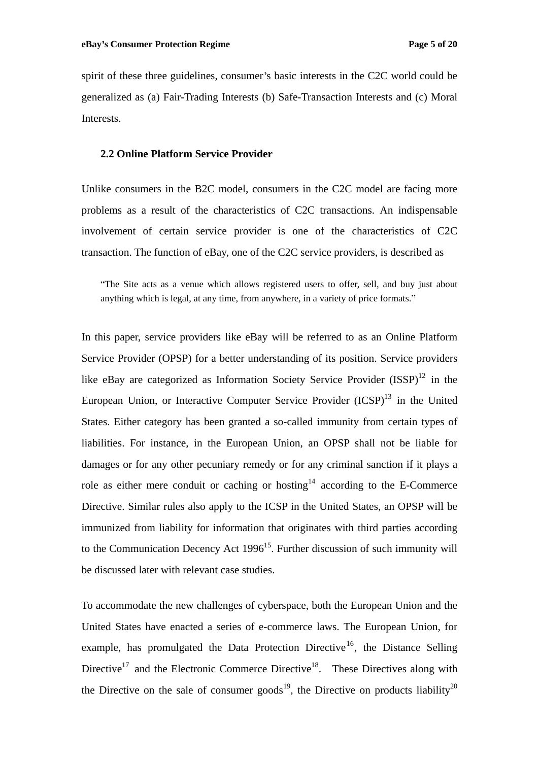spirit of these three guidelines, consumer's basic interests in the C2C world could be generalized as (a) Fair-Trading Interests (b) Safe-Transaction Interests and (c) Moral Interests.

## **2.2 Online Platform Service Provider**

Unlike consumers in the B2C model, consumers in the C2C model are facing more problems as a result of the characteristics of C2C transactions. An indispensable involvement of certain service provider is one of the characteristics of C2C transaction. The function of eBay, one of the C2C service providers, is described as

The Site acts as a venue which allows registered users to offer, sell, and buy just about anything which is legal, at any time, from anywhere, in a variety of price formats.

In this paper, service providers like eBay will be referred to as an Online Platform Service Provider (OPSP) for a better understanding of its position. Service providers like eBay are categorized as Information Society Service Provider  $(ISSP)^{12}$  in the European Union, or Interactive Computer Service Provider  $(ICSP)^{13}$  in the United States. Either category has been granted a so-called immunity from certain types of liabilities. For instance, in the European Union, an OPSP shall not be liable for damages or for any other pecuniary remedy or for any criminal sanction if it plays a role as either mere conduit or caching or hosting  $14$  according to the E-Commerce Directive. Similar rules also apply to the ICSP in the United States, an OPSP will be immunized from liability for information that originates with third parties according to the Communication Decency Act 1996<sup>15</sup>. Further discussion of such immunity will be discussed later with relevant case studies.

To accommodate the new challenges of cyberspace, both the European Union and the United States have enacted a series of e-commerce laws. The European Union, for example, has promulgated the Data Protection Directive<sup>16</sup>, the Distance Selling , the Distance Selling Directive<sup>17</sup> and the Electronic Commerce Directive<sup>18</sup>. These Directives along with the Directive on the sale of consumer goods<sup>19</sup>, the Directive on products liability<sup>20</sup>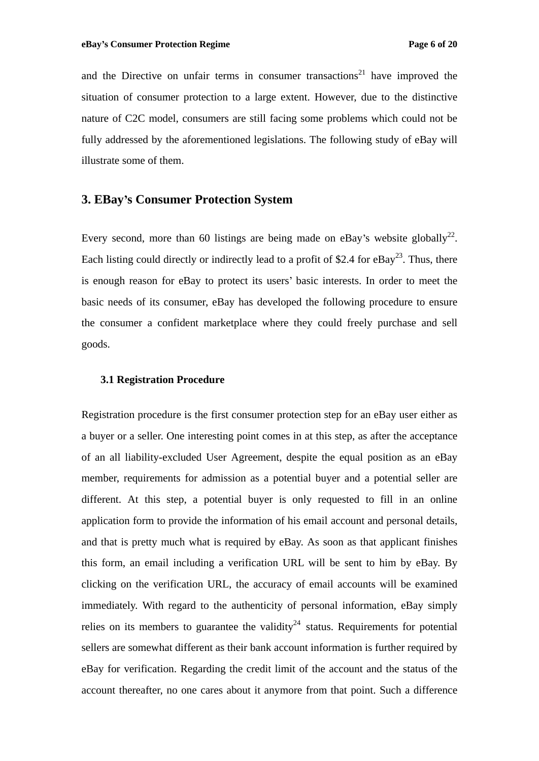and the Directive on unfair terms in consumer transactions<sup>21</sup> have improved the  $21$  have improved the situation of consumer protection to a large extent. However, due to the distinctive nature of C2C model, consumers are still facing some problems which could not be fully addressed by the aforementioned legislations. The following study of eBay will illustrate some of them.

# **3. EBay s Consumer Protection System**

Every second, more than 60 listings are being made on eBay's website globally<sup>22</sup>. 22 Each listing could directly or indirectly lead to a profit of \$2.4 for eBay<sup>23</sup>. Thus, there  $^{23}$  Thue there . Thus, there is enough reason for eBay to protect its users' basic interests. In order to meet the basic needs of its consumer, eBay has developed the following procedure to ensure the consumer a confident marketplace where they could freely purchase and sell goods.

#### **3.1 Registration Procedure**

Registration procedure is the first consumer protection step for an eBay user either as a buyer or a seller. One interesting point comes in at this step, as after the acceptance of an all liability-excluded User Agreement, despite the equal position as an eBay member, requirements for admission as a potential buyer and a potential seller are different. At this step, a potential buyer is only requested to fill in an online application form to provide the information of his email account and personal details, and that is pretty much what is required by eBay. As soon as that applicant finishes this form, an email including a verification URL will be sent to him by eBay. By clicking on the verification URL, the accuracy of email accounts will be examined immediately. With regard to the authenticity of personal information, eBay simply relies on its members to guarantee the validity<sup>24</sup> status. Requirements for potential sellers are somewhat different as their bank account information is further required by eBay for verification. Regarding the credit limit of the account and the status of the account thereafter, no one cares about it anymore from that point. Such a difference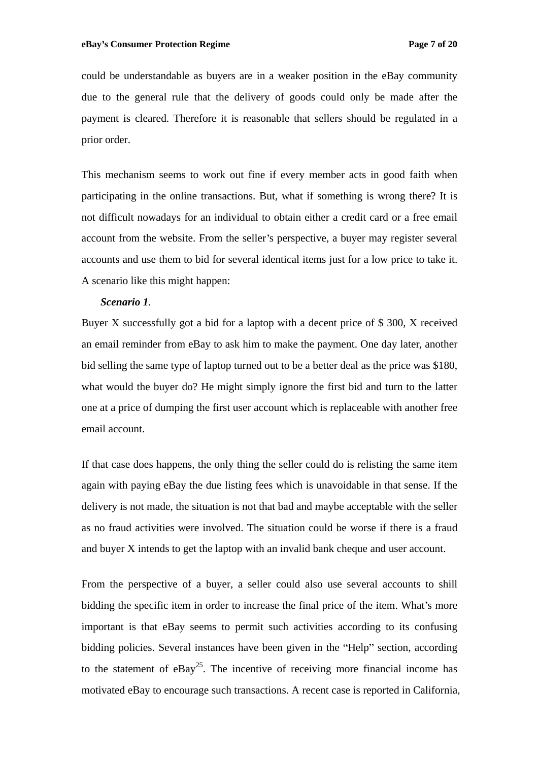could be understandable as buyers are in a weaker position in the eBay community due to the general rule that the delivery of goods could only be made after the payment is cleared. Therefore it is reasonable that sellers should be regulated in a prior order.

This mechanism seems to work out fine if every member acts in good faith when participating in the online transactions. But, what if something is wrong there? It is not difficult nowadays for an individual to obtain either a credit card or a free email account from the website. From the seller's perspective, a buyer may register several accounts and use them to bid for several identical items just fora low price to take it. A scenario like this might happen:

#### *Scenario 1.*

Buyer X successfully got a bid for a laptop with a decent price of  $$ 300$ , X received an email reminder from eBay to ask him to make thepayment. One day later, another bid selling the same type of laptop turned out to be a better deal as the price was \$180, what would the buyer do? He might simply ignore the first bid and turn to the latter one at a price of dumping the first user account which is replaceable with another free email account.

If that case does happens, the only thing the seller could do is relisting the same item again with paying eBay the due listing fees which is unavoidable in that sense. If the delivery is not made, the situation is not that bad and maybe acceptable with the seller as no fraud activities were involved. The situation could be worse if there is a fraud and buyer X intends to get the laptop with an invalid bank cheque and user account.

From the perspective of a buyer, a seller could also use several accounts to shill bidding the specific item in order to increase the final price of the item. What's more important is that eBay seems to permit such activities according to its confusing bidding policies. Several instances have been given in the "Help" section, according to the statement of  $eBay<sup>25</sup>$ . The incentive of receiving more financial income has motivated eBay to encourage such transactions. A recent case is reported in California,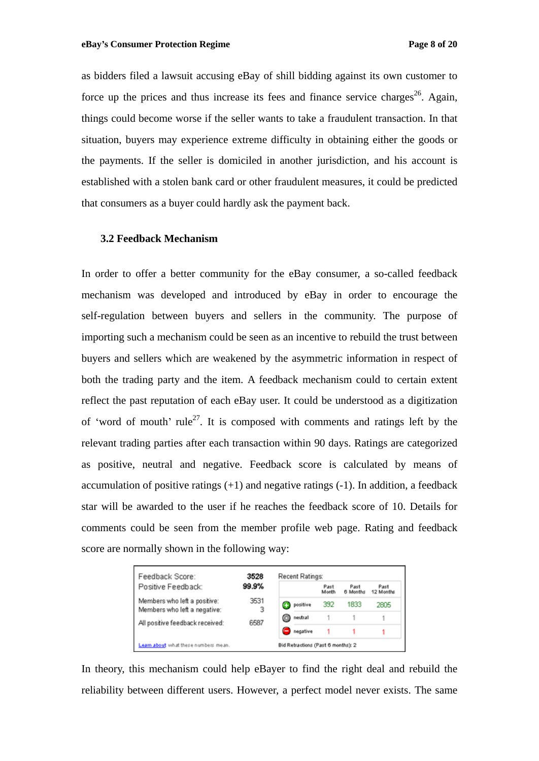as bidders filed a lawsuit accusing eBay of shill bidding against its own customer to force up the prices and thus increase its fees and finance service charges<sup>26</sup>. Again, . Again, things could become worse if the seller wants to take a fraudulent transaction. In that situation, buyers may experience extreme difficulty in obtaining either thegoods or the payments. If the seller is domiciled in another jurisdiction, and his account is established with a stolen bank card or other fraudulent measures, it could be predicted that consumers as a buyer could hardly ask the payment back.

#### **3.2 Feedback Mechanism**

In order to offer a better community for the eBay consumer, a so-called feedback mechanism was developed and introduced by eBay in order to encourage the self-regulation between buyers and sellers in the community. The purpose of importing such a mechanism could be seen as an incentive to rebuild the trust between buyers and sellers which are weakened by the asymmetric information in respect of both the trading party and the item. A feedback mechanism could to certain extent reflect the past reputation of each eBay user. It could be understood as a digitization of 'word of mouth' rule<sup>27</sup>. It is composed with comments and ratings left by the relevant trading parties after each transaction within 90 days. Ratings are categorized as positive, neutral and negative. Feedback score is calculated by means of accumulation of positive ratings  $(+1)$  and negative ratings  $(-1)$ . In addition, a feedback star will be awarded to the user if he reaches the feedback score of 10. Details for comments could be seen from the member profile web page. Rating and feedback score are normally shown in the following way:

| Feedback Score:                                              | 3528<br>99.9%<br>3531<br>3<br>6587 | Recent Ratings:                    |          |               |                  |                   |
|--------------------------------------------------------------|------------------------------------|------------------------------------|----------|---------------|------------------|-------------------|
| Positive Feedback:                                           |                                    |                                    |          | Past<br>Month | Past<br>6 Months | Past<br>12 Months |
| Members who left a positive:<br>Members who left a negative: |                                    |                                    | positive | 392           | 1833             | 2805              |
| All positive feedback received:                              |                                    | o                                  | neutral  |               |                  |                   |
|                                                              |                                    | Ξ.                                 | negative |               |                  |                   |
| Learn about what these numbers mean.                         |                                    | Bid Retractions (Past 6 months): 2 |          |               |                  |                   |

In theory, this mechanism could help eBayer to find the right deal and rebuild the reliability between different users. However, a perfect model never exists. The same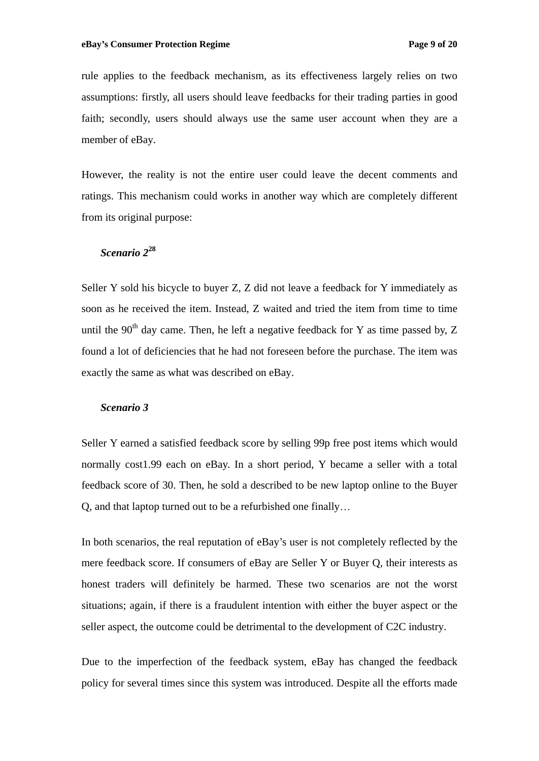rule applies to the feedback mechanism, as its effectiveness largely relies on two assumptions: firstly, all users should leave feedbacks for their trading parties in good faith; secondly, users should always use the same user account when they are a member of eBay.

However, the reality is not the entire user could leave the decent commentsand ratings. This mechanism could works in another way which are completely different from its original purpose:

# *Scenario 2***<sup>28</sup>**

Seller Y sold his bicycle to buyer Z, Z did not leave a feedback for Y immediately as soon as he received the item. Instead, Z waited and tried the item from time to time until the 90<sup>th</sup> day came. Then, he left a negative feedback for Y as time passed by, Z found a lot of deficiencies that he had not foreseen before the purchase. The item was exactly the same as what was described on eBay.

#### *Scenario 3*

Seller Y earned a satisfied feedback score by selling 99p free post items which would normally cost1.99 each on eBay. In a short period, Y became a seller with a total feedback score of 30. Then, he sold a described to be new laptop online to the Buyer Q, and that laptop turned out to be a refurbished one finally

In both scenarios, the real reputation of eBay's user is not completely reflected by the mere feedback score. If consumers of eBay are Seller Y or Buyer Q, their interests as honest traders will definitely be harmed. These two scenarios are not the worst situations; again, if there is a fraudulent intention with either the buyer aspect or the seller aspect, the outcome could be detrimental to the development of C2C industry.

Due to the imperfection of the feedback system, eBay has changed the feedback policy for several times since this system was introduced. Despite all the efforts made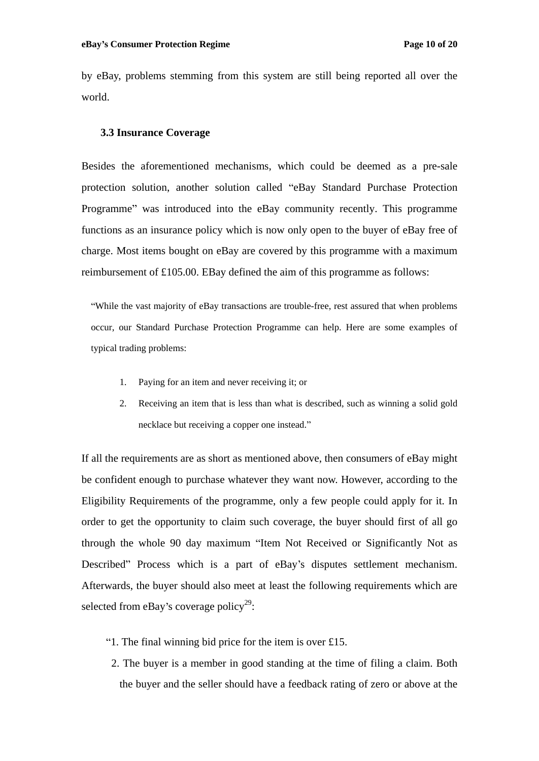by eBay, problems stemming from this system are still being reported all over the world.

### **3.3 Insurance Coverage**

Besides the aforementioned mechanisms, which could be deemed as a pre-sale protection solution, another solution called "eBay Standard Purchase Protection Programme" was introduced into the eBay community recently. This programme functions as an insurance policy which is now only open to the buyer of eBay free of charge. Most items bought on eBay are covered by this programme with a maximum reimbursement of £105.00. EBay defined the aim of this programme as follows:

While the vast majority of eBay transactions are trouble-free, rest assured that when problems occur, our Standard Purchase Protection Programme can help. Here are some examples of typical trading problems:

- 1. Paying for an item and never receiving it; or
- 2. Receiving an item that is less than what is described, such as winning a solid gold necklace but receiving a copper one instead.

If all the requirements are as short as mentioned above, then consumers of eBay might be confident enough to purchase whatever they want now. However, according to the Eligibility Requirements of the programme, only a few people could apply for it. In order to get the opportunity to claim such coverage, the buyer should first of all go through the whole 90 day maximum "Item Not Received or Significantly Not as Described" Process which is a part of eBay's disputes settlement mechanism. Afterwards, the buyer should also meet at least the following requirements which are selected from eBay's coverage policy<sup>29</sup>:  $29.$ : The contract of the contract of the contract of the contract of the contract of the contract of the contract<br>In the contract of the contract of the contract of the contract of the contract of the contract of the contract

- "1. The final winning bid price for the item is over  $£15$ .
- 2. The buyer is a member in good standing at the time of filing a claim. Both the buyer and the seller should have a feedback rating of zero or above at the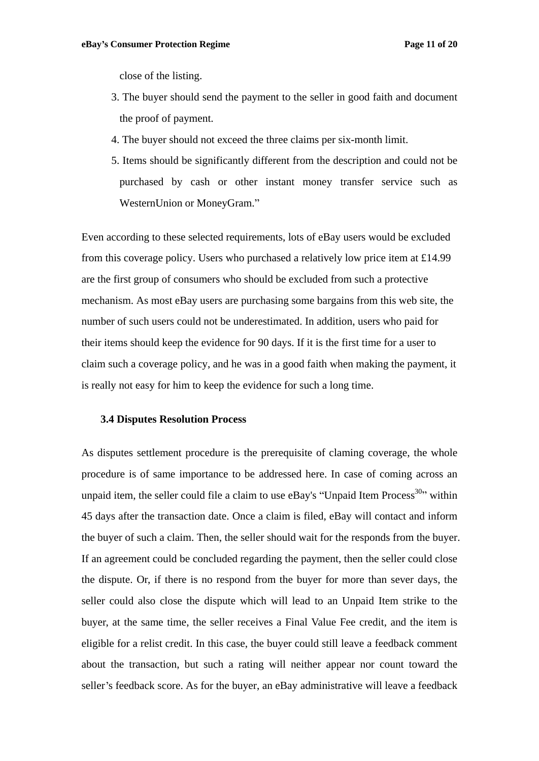close of the listing.

- 3. The buyer should send the payment to the seller in good faith and document the proof of payment.
- 4. The buyer should not exceed the three claims per six-month limit.
- 5. Items should be significantly different from the description and could not be purchased by cash or other instant money transfer service such as WesternUnion or MoneyGram.

Even according to these selected requirements, lots of eBay users would be excluded from this coverage policy. Users who purchased a relatively low price item at £14.99 are the first group of consumers who should be excluded from such a protective mechanism. As most eBay users are purchasing some bargains from this web site, the number of such users could not be underestimated. In addition, users who paid for their items should keep the evidence for 90 days. If it is the first time for a user to claim such a coverage policy, and he was in a good faith when making the payment, it is really not easy for him to keep the evidence for such a long time.

#### **3.4 Disputes Resolution Process**

As disputes settlement procedure is the prerequisite of claming coverage, the whole procedure is of same importance to be addressed here. In case of coming across an unpaid item, the seller could file a claim to use  $eBay's$  "Unpaid Item Process<sup>30</sup>" within within **with** 45 days after the transaction date. Once a claim is filed, eBay will contact and inform the buyer of such a claim. Then, the seller should wait for the responds from the buyer. If an agreement could be concluded regarding the payment, then the seller could close the dispute. Or, if there is no respond from the buyer for more than sever days, the seller could also close the dispute which will lead to an Unpaid Item strike to the buyer, at the same time, the seller receives a Final Value Fee credit, and the item is eligible for a relist credit. In this case, the buyer could still leave a feedback comment about the transaction, but such a rating will neither appear nor count toward the seller's feedback score. As for the buyer, an eBay administrative will leave a feedback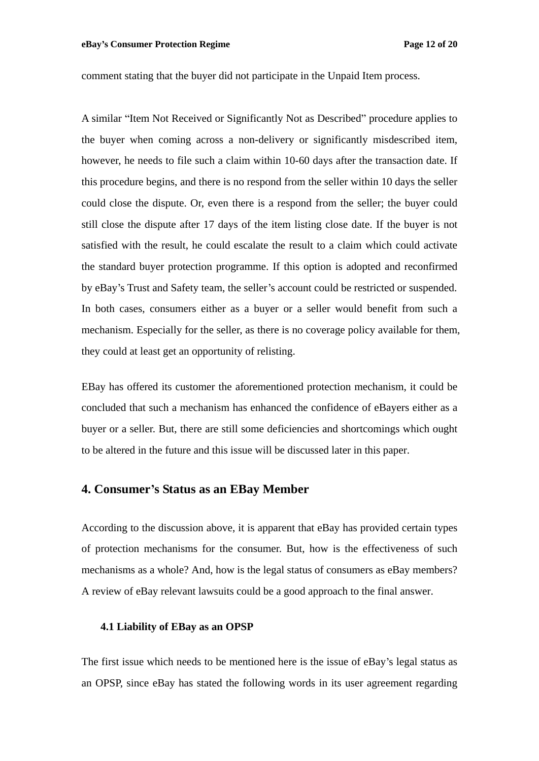comment stating that the buyer did not participate in the Unpaid Item process.

A similar "Item Not Received or Significantly Not as Described" procedure applies to the buyer when coming across a non-delivery or significantly misdescribed item, however, he needs to file such a claim within 10-60 days after the transaction date. If this procedure begins, and there is no respond from the seller within 10 days the seller could close the dispute. Or, even there is a respond from the seller; the buyer could still close the dispute after 17 days of the item listing close date. If the buyer is not satisfied with the result, he could escalate the result to a claim which could activate the standard buyer protection programme. If this option is adopted and reconfirmed by eBay's Trust and Safety team, the seller's account could be restricted or suspended. In both cases, consumers either as a buyer or a seller would benefit from such a mechanism. Especially for the seller, as there is no coverage policy available for them, they could at least get an opportunity of relisting.

EBay has offered its customer the aforementioned protection mechanism, it could be concluded that such a mechanism has enhanced the confidence of eBayers either as a buyer or a seller. But, there are still some deficienciesand shortcomings which ought to be altered in the future and this issue will be discussed later in this paper.

## **4. Consumer s Status as an EBay Member**

According to the discussion above, it is apparent that eBay has provided certain types of protection mechanisms for the consumer. But, how is the effectiveness of such mechanisms as a whole? And, how is the legal status of consumers as eBay members? A review of eBay relevant lawsuits could be a good approach to the final answer.

## **4.1 Liability of EBay as an OPSP**

The first issue which needs to be mentioned here is the issue of eBay's legal status as an OPSP, since eBay has stated the following words in its user agreement regarding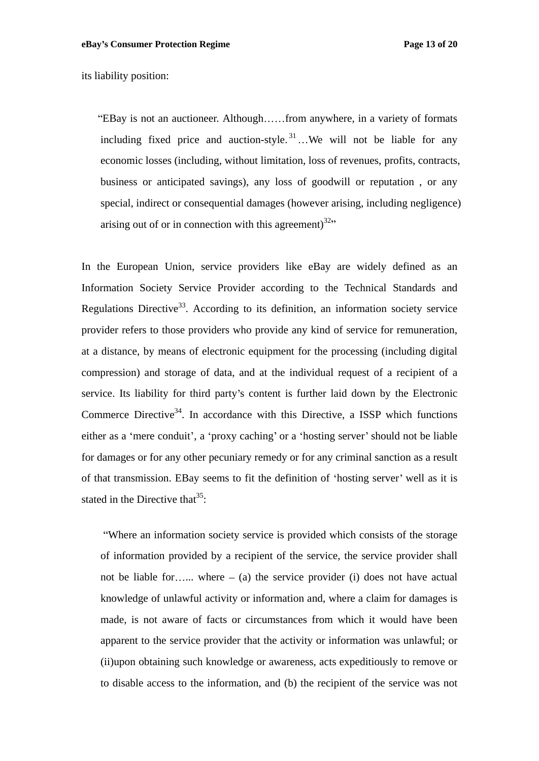its liability position:

"EBay is not an auctioneer. Although......from anywhere, in a variety of formats including fixed price and auction-style.<sup>31</sup> We will not be liable for any economic losses (including, without limitation, loss of revenues, profits, contracts, business or anticipated savings), any loss of goodwill or reputation , or any special, indirect or consequential damages (however arising, including negligence) arising out of or in connection with this agreement)<sup>32,1</sup>

In the European Union, service providers like eBay are widely defined as an Information Society Service Provider according to the Technical Standards and Regulations Directive<sup>33</sup>. According to its definition, an information society service provider refers to those providers who provide any kind of service for remuneration, at a distance, by means of electronic equipment for the processing (including digital compression) and storage of data, and at the individual request of a recipient of a service. Its liability for third party's content is further laid down by the Electronic Commerce Directive<sup>34</sup>. In accordance with this Directive, a ISSP which functions either as a 'mere conduit', a 'proxy caching' or a 'hosting server' should not be liable for damages or for any other pecuniary remedy or for any criminal sanction as a result of that transmission. EBay seems to fit the definition of 'hosting server' well as it is stated in the Directive that  $35$ : : And the second control of the second control of the second control of the second control of the second control of

Where an information society service is provided which consists of the storage of information provided by a recipient of the service, the service provider shall not be liable for ... where  $-$  (a) the service provider (i) does not have actual knowledge of unlawful activity or information and, where a claim for damages is made, is not aware of facts or circumstances from which it would have been apparent to the service provider that the activity or information was unlawful; or (ii)upon obtaining such knowledge or awareness, acts expeditiously to remove or to disable access to the information, and (b) the recipient of the service was not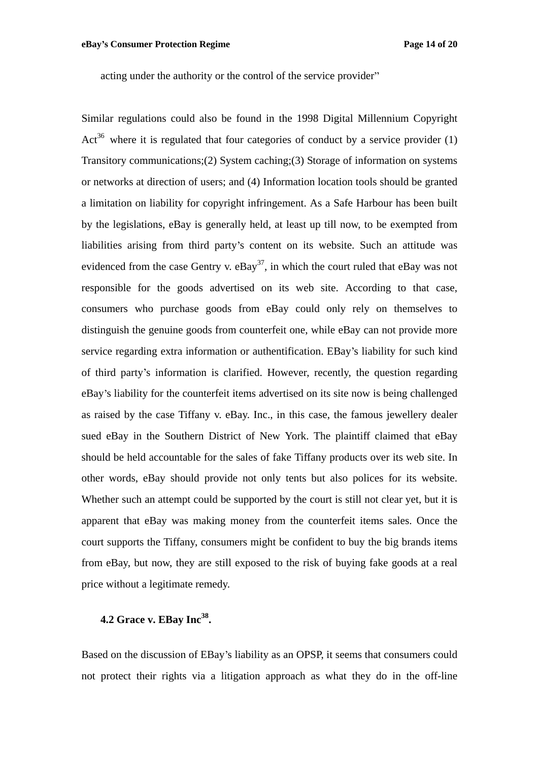acting under the authority or the control of the service provider

Similar regulations could also be found in the 1998 Digital Millennium Copyright Act<sup>36</sup> where it is regulated that four categories of conduct by a service provider  $(1)$ Transitory communications;(2) System caching;(3) Storage of information on systems or networks at direction of users; and (4) Information location tools should be granted a limitation on liability for copyright infringement. As a Safe Harbour has been built by the legislations, eBay is generally held, at least up till now, to be exempted from liabilities arising from third party s content on its website. Such an attitude was evidenced from the case Gentry v.  $eBay<sup>37</sup>$ , in which the court ruled that  $eBay$  was not responsible for the goods advertised on its web site. According to that case, consumers who purchase goods from eBay could only rely on themselves to distinguish the genuine goods from counterfeit one, while eBay can not provide more service regarding extra information or authentification. EBay's liability for such kind of third party s information is clarified. However, recently, the question regarding eBay s liability for the counterfeit items advertised on its site now is being challenged as raised by the case Tiffany v. eBay. Inc., in this case, the famous jewellery dealer sued eBay in the Southern District of New York. The plaintiff claimed that eBay should be held accountable for the sales of fake Tiffany products over its web site. In other words, eBay should provide not only tents but also polices for its website. Whether such an attempt could be supported by the court is still not clear yet, but it is apparent that eBay was making money from the counterfeit items sales. Once the court supports the Tiffany, consumers might be confident to buy the big brands items from eBay, but now, they are still exposed to the risk of buying fake goods at a real price without a legitimate remedy.

#### **4.2 Grace v. EBay Inc<sup>38</sup> .**

Based on the discussion of EBay's liability as an OPSP, it seems that consumers could not protect their rights via a litigation approach as what they do in the off-line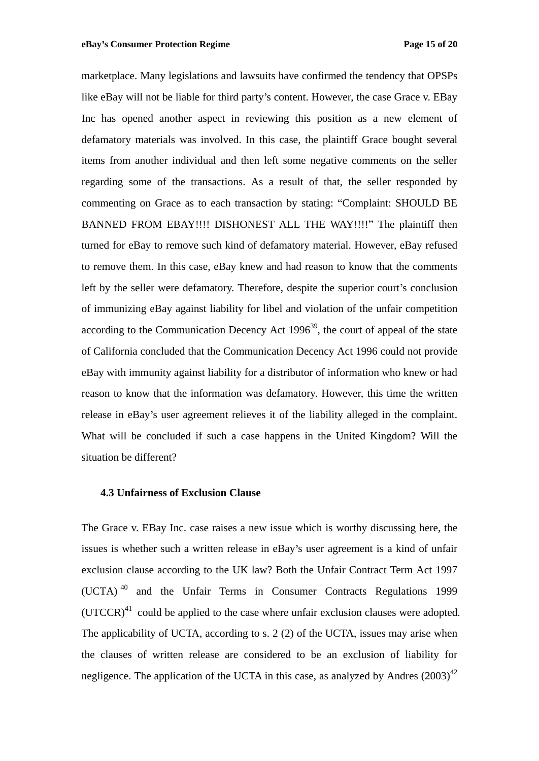marketplace. Many legislations and lawsuits have confirmed the tendency that OPSPs like eBay will not be liable for third party's content. However, the case Grace v. EBay Inc has opened another aspect in reviewing this position as a new element of defamatory materials was involved. In this case, the plaintiff Grace bought several items from another individual and then left some negative comments on the seller regarding some of the transactions. As a result of that, the seller responded by commenting on Grace as to each transaction by stating: Complaint: SHOULD BE BANNED FROM EBAY!!!! DISHONEST ALL THE WAY!!!!" The plaintiff then turned for eBay to remove such kind of defamatory material. However, eBay refused to remove them. In this case, eBay knew and had reason to know that the comments left by the seller were defamatory. Therefore, despite the superior court's conclusion of immunizing eBay against liability for libel and violation of the unfair competition according to the Communication Decency Act  $1996^{39}$ , the court of appeal of the state of California concluded that the Communication Decency Act 1996 could not provide eBay with immunity against liability for a distributor of information who knew or had reason to know that the information was defamatory. However, this time the written release in eBay's user agreement relieves it of the liability alleged in the complaint. What will be concluded if such a case happens in the United Kingdom? Will the situation be different?

## **4.3 Unfairness of Exclusion Clause**

The Grace v. EBay Inc. case raises a new issue which is worthy discussing here, the issues is whether such a written release in eBay's user agreement is a kind of unfair exclusion clause according to the UK law? Both the Unfair Contract Term Act 1997  $(UCTA)$ <sup>40</sup> and the Unfair Terms in Consumer Contracts Regulations 1999  $(UTCCR)^{41}$  could be applied to the case where unfair exclusion clauses were adopted. The applicability of UCTA, according to s. 2 (2) of the UCTA, issues may arise when the clauses of written release are considered to be an exclusion of liability for negligence. The application of the UCTA in this case, as analyzed by Andres  $(2003)^{42}$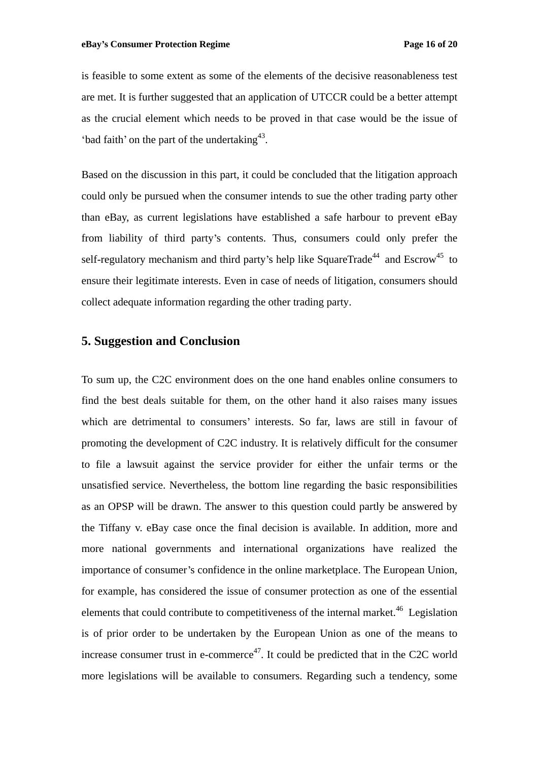is feasible to some extent as some of the elements of the decisive reasonableness test are met. It is further suggested that an application of UTCCR could be a better attempt as the crucial element which needs to be proved in that case would be the issue of 'bad faith' on the part of the undertaking $43$ . . A construction of the construction of the construction of the construction of the construction of the construction of the construction of the construction of the construction of the construction of the construction of th

Based on the discussion in this part, it could be concluded that the litigation approach could only be pursued when the consumer intends to sue the other trading party other than eBay, as current legislations have established a safe harbour to prevent eBay from liability of third party's contents. Thus, consumers could only prefer the self-regulatory mechanism and third party's help like SquareTrade<sup>44</sup> and Escrow<sup>45</sup> to  $^{44}$  and  $\Gamma$ serow<sup>45</sup> to and  $\text{Escrow}^4$  to  $45$  to ensure their legitimate interests. Even in case of needs of litigation, consumers should collect adequate information regarding the other trading party.

# **5. Suggestion and Conclusion**

To sum up, the C2C environment does on the one hand enables online consumers to find the best deals suitable for them, on the other hand it also raises many issues which are detrimental to consumers' interests. So far, laws are still in favour of promoting the development of C2C industry. It is relatively difficult for the consumer to file a lawsuit against the service provider for either the unfair terms or the unsatisfied service. Nevertheless, the bottom line regarding the basic responsibilities as an OPSP will be drawn. The answer to this question could partly be answered by the Tiffany v. eBay case once the final decision is available. In addition, more and more national governments and international organizations have realized the importance of consumer's confidence in the online marketplace. The European Union, for example, has considered the issue of consumer protection as one of the essential elements that could contribute to competitiveness of the internal market.<sup>46</sup> Legislation is of prior order to be undertaken by the European Union as one of the means to increase consumer trust in e-commerce<sup>47</sup>. It could be predicted that in the C2C world more legislations will be available to consumers. Regarding such a tendency, some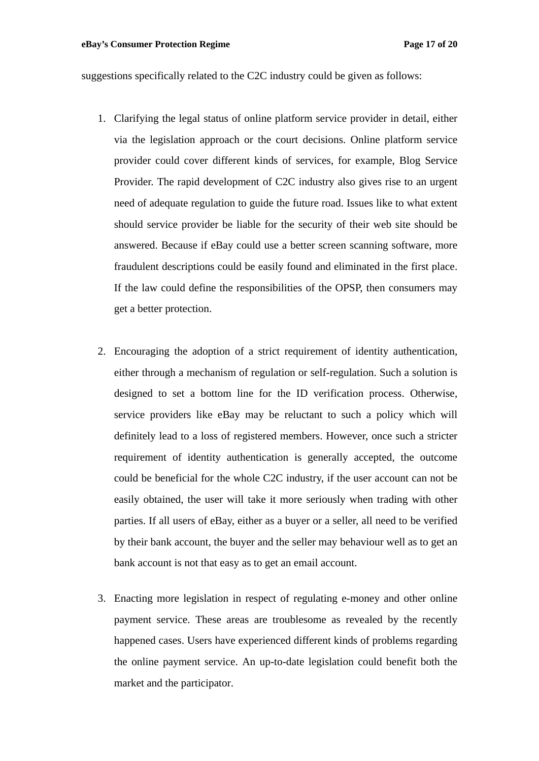suggestions specifically related to the C2C industry could be given as follows:

- 1. Clarifying the legal status of online platform service provider in detail, either via the legislation approach or the court decisions. Online platform service provider could cover different kinds of services, for example, Blog Service Provider. The rapid development of C2C industry also gives rise to an urgent need of adequate regulation to guide the future road. Issues like to what extent should service provider be liable for the security of their web site should be answered. Because if eBay could use a better screen scanning software, more fraudulent descriptions could be easily found and eliminated in the first place.<br>If the law could define the responsibilities of the OPSP, then consumers may get a better protection.
- 2. Encouraging the adoption of a strict requirement of identity authentication, either through a mechanism of regulation or self-regulation. Such a solution is designed to set a bottom line for the ID verification process. Otherwise, service providers like eBay may be reluctant to such a policy which will definitely lead to a loss of registered members. However, once such a stricter requirement of identity authentication is generally accepted, the outcome could be beneficial for the whole C2C industry, if the user account can not be easily obtained, the user will take it more seriously when trading with other parties. If all users of eBay, either as a buyer or a seller, all need to be verified by their bank account, the buyer and the seller may behaviour well as to get an bank account is not that easy as to get an email account.
- 3. Enacting more legislation in respect of regulating e-money and other online payment service. These areas are troublesome as revealed by the recently happened cases. Users have experienced different kinds of problems regarding the online payment service. An up-to-date legislation could benefit both the market and the participator.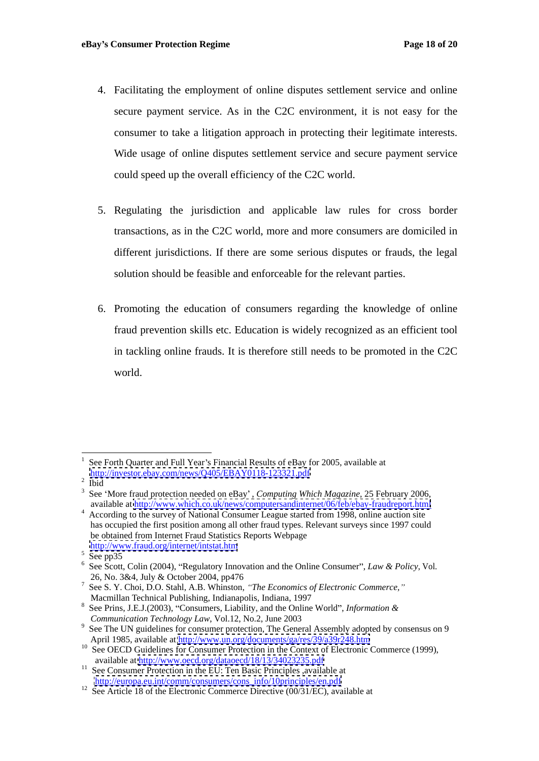- 4. Facilitating the employment of online disputes settlement service and online secure payment service. As in the C2C environment, it is not easy for the consumer to take a litigation approach in protecting their legitimate interests. Wide usage of online disputes settlement service and secure payment service could speed up the overall efficiency of the C2C world.
- 5. Regulating the jurisdiction and applicable law rules for cross border transactions, as in the C2C world, more and more consumers are domiciled in different jurisdictions. If there are some serious disputes or frauds, the legal solution should be feasible and enforceable for the relevant parties.
- 6. Promoting the education of consumers regarding the knowledge of online fraud prevention skills etc. Education is widely recognized as an efficient tool in tackling online frauds. It is therefore still needs to be promoted in the C2C world.

See Forth Quarter and Full Year's Financial Results of eBay for 2005, available at <http://investor.ebay.com/news/Q405/EBAY0118-123321.pdf><br>Ibid

Ibid and the contract of the contract of the contract of the contract of the contract of the contract of the contract of the contract of the contract of the contract of the contract of the contract of the contract of the c

<sup>3</sup> See More fraud protection needed on eBay , *Computing Which Magazine,* 25 February 2006, available at <http://www.which.co.uk/news/computersandinternet/06/feb/ebay-fraudreport.html> According to the survey of National Consumer League started from 1998, online auction site

has occupied the first position among all other fraud types. Relevant surveys since 1997 could be obtained from Internet Fraud Statistics Reports Webpage <http://www.fraud.org/internet/intstat.htm>

 $5$  See pp35

<sup>&</sup>lt;sup>5</sup> See pp35<br><sup>6</sup> See Scott, Colin (2004), "Regulatory Innovation and the Online Consumer", *Law & Policy*, Vol. 26, No. 3&4, July & October 2004, pp476

<sup>7</sup> See S. Y. Choi, D.O. Stahl, A.B. Whinston, *The Economics of Electronic Commerce,* Macmillan Technical Publishing, Indianapolis, Indiana, 1997

<sup>&</sup>lt;sup>8</sup> See Prins, J.E.J.(2003), "Consumers, Liability, and the Online World", *Information & Communication Technology Law*, Vol.12, No.2, June 2003

<sup>&</sup>lt;sup>9</sup> See The UN guidelines for consumer protection, The General Assembly adopted by consensus on 9 April 1985, available at<http://www.un.org/documents/ga/res/39/a39r248.htm>

<sup>&</sup>lt;sup>10</sup> See OECD Guidelines for Consumer Protection in the Context of Electronic Commerce (1999),

available at<http://www.oecd.org/dataoecd/18/13/34023235.pdf> 11 See Consumer Protection in the EU: Ten Basic Principles ,available at

[http://europa.eu.int/comm/consumers/cons\\_info/10principles/en.pdf](http://europa.eu.int/comm/consumers/cons_info/10principles/en.pdf)<br>
<sup>12</sup> See Article 18 of the Electronic Commerce Directive (00/31/EC), available at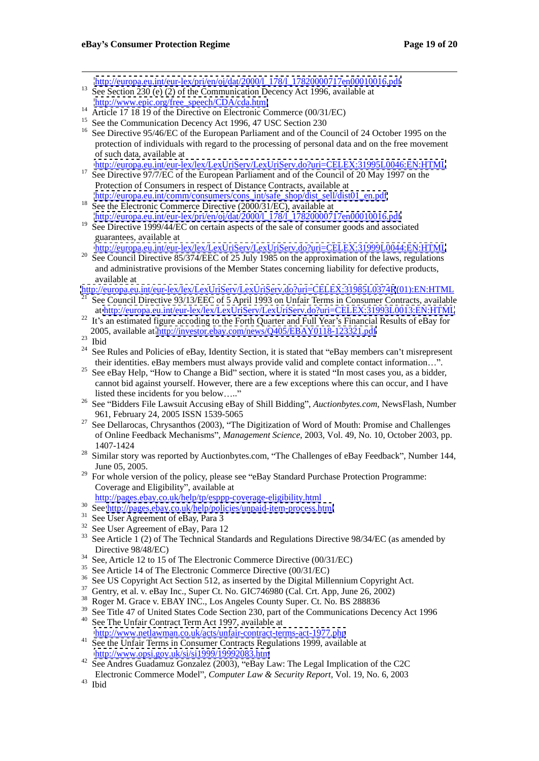http://europa.eu.int/eur-lex/pri/en/oj/dat/2000/l 178/l 17820000717en00010016.pdf See Section 230 (e) (2) of the Communication Decency Act 1996, available at

- 
- [http://www.epic.org/free\\_speech/CDA/cda.html](http://www.epic.org/free_speech/CDA/cda.html)<br>
<sup>14</sup> Article 17 18 19 of the Directive on Electronic Commerce (00/31/EC)<br>
<sup>15</sup> See the Communication Decency Act 1996, 47 USC Section 230
- 
- <sup>16</sup> See Directive 95/46/EC of the European Parliament and of the Council of 24 October 1995 on the protection of individuals with regard to the processing of personal data and on the free movement of such data, available at

<http://europa.eu.int/eur-lex/lex/LexUriServ/LexUriServ.do?uri=CELEX:31995L0046:EN:HTML>

- <sup>17</sup> See Directive 97/7/EC of the European Parliament and of the Council of 20 May 1997 on the Protection of Consumers in respect of Distance Contracts, available at
- [http://europa.eu.int/comm/consumers/cons\\_int/safe\\_shop/dist\\_sell/dist01\\_en.pdf](http://europa.eu.int/comm/consumers/cons_int/safe_shop/dist_sell/dist01_en.pdf) 18 See the Electronic Commerce Directive (2000/31/EC), available at [http://europa.eu.int/eur-lex/pri/en/oj/dat/2000/l\\_178/l\\_17820000717en00010016.pdf](http://europa.eu.int/eur-lex/pri/en/oj/dat/2000/l_178/l_17820000717en00010016.pdf)
- <sup>19</sup> See Directive 1999/44/EC on certain aspects of the sale of consumer goods and associated guarantees, available at
- <http://europa.eu.int/eur-lex/lex/LexUriServ/LexUriServ.do?uri=CELEX:31999L0044:EN:HTML> <sup>20</sup> See Council Directive 85/374/EEC of 25 July 1985 on the approximation of the laws, regulations
- and administrative provisions of the Member States concerning liability for defective products, available at

<http://europa.eu.int/eur-lex/lex/LexUriServ/LexUriServ.do?uri=CELEX:31985L0374R>(01):EN:HTML

- <sup>21</sup> See Council Directive 93/13/EEC of 5 April 1993 on Unfair Terms in Consumer Contracts, available at<http://europa.eu.int/eur-lex/lex/LexUriServ/LexUriServ.do?uri=CELEX:31993L0013:EN:HTML>
- <sup>22</sup> It's an estimated figure accoding to the Forth Quarter and Full Year's Financial Results of eBay for 2005, available at  $\frac{http://investor.ebay.com/news/Q405/EBAY0118-123321.pdf}{\text{Bid}}$ <br>
<sup>24</sup> See Pulse and Palisias of a Pau Hantity Section, it is attached that "a Pau mamba
- 
- See Rules and Policies of eBay, Identity Section, it is stated that "eBay members can't misrepresent
- their identities. eBay members must always provide valid and complete contact information...".<br>See eBay Help, "How to Change a Bid" section, where it is stated "In most cases you, as a bidder, cannot bid against yourself. However, there are a few exceptions where this can occur, and I have
- listed these incidents for you below ....."<br><sup>26</sup> See "Bidders File Lawsuit Accusing eBay of Shill Bidding", *Auctionbytes.com*, NewsFlash, Number 961, February 24, 2005 ISSN 1539-5065
- $27$  See Dellarocas, Chrysanthos (2003), "The Digitization of Word of Mouth: Promise and Challenges of Online Feedback Mechanisms", *Management Science*, 2003, Vol. 49, No. 10, October 2003, pp. 1407-1424
- <sup>28</sup> Similar story was reported by Auctionbytes.com, "The Challenges of eBay Feedback", Number 144, June 05, 2005.<br><sup>29</sup> For whole version of the policy, please see "eBay Standard Purchase Protection Programme:
- Coverage and Eligibility", available at
	-
- http://pages.ebay.co.uk/help/tp/esppp-coverage-eligibility.html<br>
30 See <http://pages.ebay.co.uk/help/policies/unpaid-item-process.html><br>
31 See User Agreement of eBay, Para 3
- 
- $32$  See User Agreement of eBay, Para 12
- See Article 1 (2) of The Technical Standards and Regulations Directive 98/34/EC (as amended by Directive 98/48/EC)<br><sup>34</sup> See, Article 12 to 15 of The Electronic Commerce Directive (00/31/EC)<br><sup>35</sup> See Article 14 of The Electronic Commerce Directive (00/31/EC)<br><sup>36</sup> See US Copyright Act Section 512, as inserted by the D
- 
- 
- 
- 
- 
- <sup>39</sup> See Title 47 of United States Code Section 230, part of the Communications Decency Act 1996<br><sup>40</sup> See The Unfeit Contract Term Act 1997 available at See The Unfair Contract Term Act 1997, available at
- <http://www.netlawman.co.uk/acts/unfair-contract-terms-act-1977.php>
- <sup>41</sup> See the Unfair Terms in Consumer Contracts Regulations 1999, available at <http://www.opsi.gov.uk/si/si1999/19992083.htm>
- See Andres Guadamuz Gonzalez (2003), "eBay Law: The Legal Implication of the C2C Electronic Commerce Model , *Computer Law & Security Report*, Vol. 19, No. 6, 2003
- <sup>43</sup> Ibid